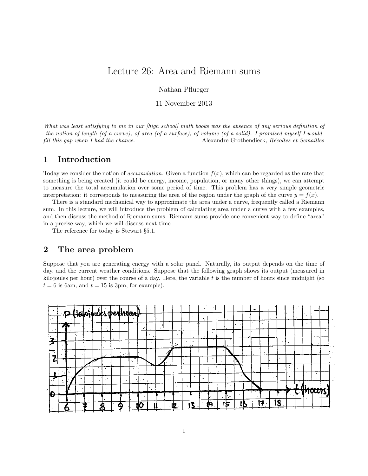## Lecture 26: Area and Riemann sums

Nathan Pflueger

11 November 2013

What was least satisfying to me in our [high school] math books was the absence of any serious definition of the notion of length (of a curve), of area (of a surface), of volume (of a solid). I promised myself I would fill this gap when I had the chance. Alexandre Grothendieck, Récoltes et Semailles

### 1 Introduction

Today we consider the notion of *accumulation*. Given a function  $f(x)$ , which can be regarded as the rate that something is being created (it could be energy, income, population, or many other things), we can attempt to measure the total accumulation over some period of time. This problem has a very simple geometric interpretation: it corresponds to measuring the area of the region under the graph of the curve  $y = f(x)$ .

There is a standard mechanical way to approximate the area under a curve, frequently called a Riemann sum. In this lecture, we will introduce the problem of calculating area under a curve with a few examples, and then discuss the method of Riemann sums. Riemann sums provide one convenient way to define "area" in a precise way, which we will discuss next time.

The reference for today is Stewart §5.1.

#### 2 The area problem

Suppose that you are generating energy with a solar panel. Naturally, its output depends on the time of day, and the current weather conditions. Suppose that the following graph shows its output (measured in kilojoules per hour) over the course of a day. Here, the variable  $t$  is the number of hours since midnight (so  $t = 6$  is 6am, and  $t = 15$  is 3pm, for example).

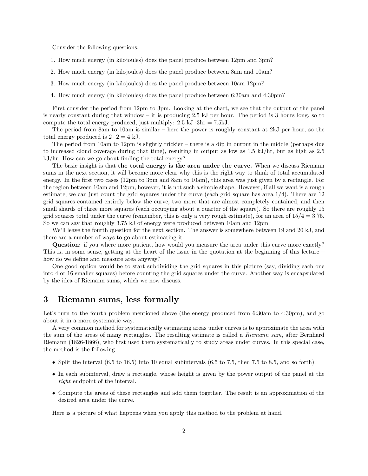Consider the following questions:

- 1. How much energy (in kilojoules) does the panel produce between 12pm and 3pm?
- 2. How much energy (in kilojoules) does the panel produce between 8am and 10am?
- 3. How much energy (in kilojoules) does the panel produce between 10am 12pm?
- 4. How much energy (in kilojoules) does the panel produce between 6:30am and 4:30pm?

First consider the period from 12pm to 3pm. Looking at the chart, we see that the output of the panel is nearly constant during that window – it is producing 2.5 kJ per hour. The period is 3 hours long, so to compute the total energy produced, just multiply:  $2.5 \text{ kJ} \cdot 3\text{hr} = 7.5 \text{ kJ}$ .

The period from 8am to 10am is similar – here the power is roughly constant at 2kJ per hour, so the total energy produced is  $2 \cdot 2 = 4$  kJ.

The period from 10am to 12pm is slightly trickier – there is a dip in output in the middle (perhaps due to increased cloud coverage during that time), resulting in output as low as 1.5 kJ/hr, but as high as 2.5 kJ/hr. How can we go about finding the total energy?

The basic insight is that the total energy is the area under the curve. When we discuss Riemann sums in the next section, it will become more clear why this is the right way to think of total accumulated energy. In the first two cases (12pm to 3pm and 8am to 10am), this area was just given by a rectangle. For the region between 10am and 12pm, however, it is not such a simple shape. However, if all we want is a rough estimate, we can just count the grid squares under the curve (each grid square has area  $1/4$ ). There are  $12$ grid squares contained entirely below the curve, two more that are almost completely contained, and then small shards of three more squares (each occupying about a quarter of the square). So there are roughly 15 grid squares total under the curve (remember, this is only a very rough estimate), for an area of  $15/4 = 3.75$ . So we can say that roughly 3.75 kJ of energy were produced between 10am and 12pm.

We'll leave the fourth question for the next section. The answer is somewhere between 19 and 20 kJ, and there are a number of ways to go about estimating it.

Question: if you where more patient, how would you measure the area under this curve more exactly? This is, in some sense, getting at the heart of the issue in the quotation at the beginning of this lecture – how do we define and measure area anyway?

One good option would be to start subdividing the grid squares in this picture (say, dividing each one into 4 or 16 smaller squares) before counting the grid squares under the curve. Another way is encapsulated by the idea of Riemann sums, which we now discuss.

#### 3 Riemann sums, less formally

Let's turn to the fourth problem mentioned above (the energy produced from 6:30am to 4:30pm), and go about it in a more systematic way.

A very common method for systematically estimating areas under curves is to approximate the area with the sum of the areas of many rectangles. The resulting estimate is called a Riemann sum, after Bernhard Riemann (1826-1866), who first used them systematically to study areas under curves. In this special case, the method is the following.

- Split the interval  $(6.5 \text{ to } 16.5)$  into 10 equal subintervals  $(6.5 \text{ to } 7.5, \text{ then } 7.5 \text{ to } 8.5, \text{ and so forth})$ .
- In each subinterval, draw a rectangle, whose height is given by the power output of the panel at the right endpoint of the interval.
- Compute the areas of these rectangles and add them together. The result is an approximation of the desired area under the curve.

Here is a picture of what happens when you apply this method to the problem at hand.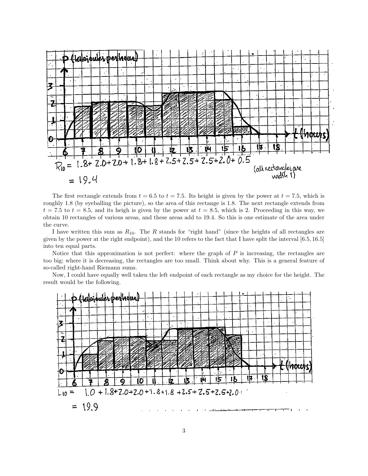

The first rectangle extends from  $t = 6.5$  to  $t = 7.5$ . Its height is given by the power at  $t = 7.5$ , which is roughly 1.8 (by eyeballing the picture), so the area of this rectange is 1.8. The next rectangle extends from  $t = 7.5$  to  $t = 8.5$ , and its heigh is given by the power at  $t = 8.5$ , which is 2. Proceeding in this way, we obtain 10 rectangles of various areas, and these areas add to 19.4. So this is one estimate of the area under the curve.

I have written this sum as  $R_{10}$ . The R stands for "right hand" (since the heights of all rectangles are given by the power at the right endpoint), and the 10 refers to the fact that I have split the interval [6.5, 16.5] into ten equal parts.

Notice that this approximation is not perfect: where the graph of  $P$  is increasing, the rectangles are too big; where it is decreasing, the rectangles are too small. Think about why. This is a general feature of so-called right-hand Riemann sums.

Now, I could have equally well taken the left endpoint of each rectangle as my choice for the height. The result would be the following.

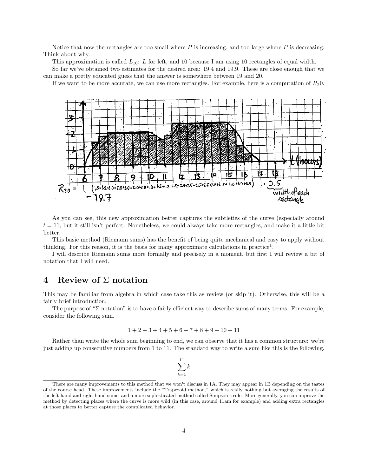Notice that now the rectangles are too small where  $P$  is increasing, and too large where  $P$  is decreasing. Think about why.

This approximation is called  $L_{10}$ : L for left, and 10 because I am using 10 rectangles of equal width.

So far we've obtained two estimates for the desired area: 19.4 and 19.9. These are close enough that we can make a pretty educated guess that the answer is somewhere between 19 and 20.

If we want to be more accurate, we can use more rectangles. For example, here is a computation of  $R_20$ .



As you can see, this new approximation better captures the subtleties of the curve (especially around  $t = 11$ , but it still isn't perfect. Nonetheless, we could always take more rectangles, and make it a little bit better.

This basic method (Riemann sums) has the benefit of being quite mechanical and easy to apply without thinking. For this reason, it is the basis for many approximate calculations in practice<sup>1</sup>.

I will describe Riemann sums more formally and precisely in a moment, but first I will review a bit of notation that I will need.

#### 4 Review of  $\Sigma$  notation

This may be familiar from algebra in which case take this as review (or skip it). Otherwise, this will be a fairly brief introduction.

The purpose of "Σ notation" is to have a fairly efficient way to describe sums of many terms. For example, consider the following sum.

$$
1+2+3+4+5+6+7+8+9+10+11
$$

Rather than write the whole sum beginning to end, we can observe that it has a common structure: we're just adding up consecutive numbers from 1 to 11. The standard way to write a sum like this is the following.



<sup>&</sup>lt;sup>1</sup>There are many improvements to this method that we won't discuss in 1A. They may appear in 1B depending on the tastes of the course head. These improvements include the "Trapezoid method," which is really nothing but averaging the results of the left-hand and right-hand sums, and a more sophisticated method called Simpson's rule. More generally, you can improve the method by detecting places where the curve is more wild (in this case, around 11am for example) and adding extra rectangles at those places to better capture the complicated behavior.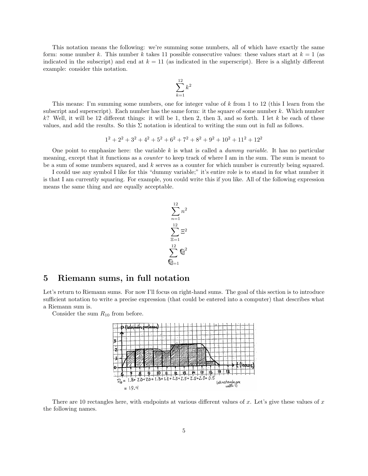This notation means the following: we're summing some numbers, all of which have exactly the same form: some number k. This number k takes 11 possible consecutive values: these values start at  $k = 1$  (as indicated in the subscript) and end at  $k = 11$  (as indicated in the superscript). Here is a slightly different example: consider this notation.



This means: I'm summing some numbers, one for integer value of k from 1 to 12 (this I learn from the subscript and superscript). Each number has the same form: it the square of some number k. Which number  $k$ ? Well, it will be 12 different things: it will be 1, then 2, then 3, and so forth. I let k be each of these values, and add the results. So this  $\Sigma$  notation is identical to writing the sum out in full as follows.

$$
1^2 + 2^2 + 3^2 + 4^2 + 5^2 + 6^2 + 7^2 + 8^2 + 9^2 + 10^2 + 11^2 + 12^2
$$

One point to emphasize here: the variable k is what is called a *dummy variable*. It has no particular meaning, except that it functions as a counter to keep track of where I am in the sum. The sum is meant to be a sum of some numbers squared, and k serves as a counter for which number is currently being squared.

I could use any symbol I like for this "dummy variable;" it's entire role is to stand in for what number it is that I am currently squaring. For example, you could write this if you like. All of the following expression means the same thing and are equally acceptable.

$$
\sum_{n=1}^{12} n^2
$$
  

$$
\sum_{n=1}^{12} \Xi^2
$$
  

$$
\sum_{n=1}^{12} \Xi^2
$$

#### 5 Riemann sums, in full notation

Let's return to Riemann sums. For now I'll focus on right-hand sums. The goal of this section is to introduce sufficient notation to write a precise expression (that could be entered into a computer) that describes what a Riemann sum is.

Consider the sum  $R_{10}$  from before.



There are 10 rectangles here, with endpoints at various different values of x. Let's give these values of  $x$ the following names.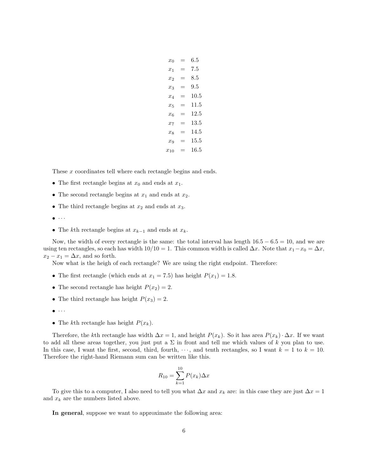| $x_0$    | $=$ | 6.5     |
|----------|-----|---------|
| $x_1$    | $=$ | 7.5     |
| $x_2$    | $=$ | 8.5     |
| $x_3$    | =   | $9.5\,$ |
| $x_4$    | $=$ | 10.5    |
| $x_{5}$  | $=$ | 11.5    |
| $x_{6}$  | $=$ | 12.5    |
| $x_7$    | $=$ | 13.5    |
| $x_8$    | $=$ | 14.5    |
| $x_9$    | $=$ | 15.5    |
| $x_{10}$ | $=$ | 16.5    |
|          |     |         |

These x coordinates tell where each rectangle begins and ends.

- The first rectangle begins at  $x_0$  and ends at  $x_1$ .
- The second rectangle begins at  $x_1$  and ends at  $x_2$ .
- The third rectangle begins at  $x_2$  and ends at  $x_3$ .
- $\bullet$   $\cdot$   $\cdot$   $\cdot$
- The kth rectangle begins at  $x_{k-1}$  and ends at  $x_k$ .

Now, the width of every rectangle is the same: the total interval has length  $16.5 - 6.5 = 10$ , and we are using ten rectangles, so each has width  $10/10 = 1$ . This common width is called  $\Delta x$ . Note that  $x_1 - x_0 = \Delta x$ ,  $x_2 - x_1 = \Delta x$ , and so forth.

Now what is the heigh of each rectangle? We are using the right endpoint. Therefore:

- The first rectangle (which ends at  $x_1 = 7.5$ ) has height  $P(x_1) = 1.8$ .
- The second rectangle has height  $P(x_2) = 2$ .
- The third rectangle has height  $P(x_3) = 2$ .
- $\bullet$   $\cdot$   $\cdot$   $\cdot$
- The kth rectangle has height  $P(x_k)$ .

Therefore, the kth rectangle has width  $\Delta x = 1$ , and height  $P(x_k)$ . So it has area  $P(x_k) \cdot \Delta x$ . If we want to add all these areas together, you just put a  $\Sigma$  in front and tell me which values of k you plan to use. In this case, I want the first, second, third, fourth,  $\cdots$ , and tenth rectangles, so I want  $k = 1$  to  $k = 10$ . Therefore the right-hand Riemann sum can be written like this.

$$
R_{10} = \sum_{k=1}^{10} P(x_k) \Delta x
$$

To give this to a computer, I also need to tell you what  $\Delta x$  and  $x_k$  are: in this case they are just  $\Delta x = 1$ and  $x_k$  are the numbers listed above.

In general, suppose we want to approximate the following area: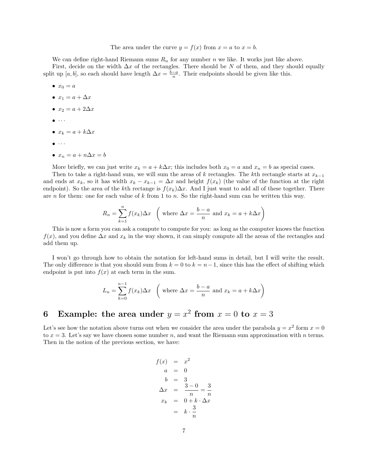#### The area under the curve  $y = f(x)$  from  $x = a$  to  $x = b$ .

We can define right-hand Riemann sums  $R_n$  for any number n we like. It works just like above. First, decide on the width  $\Delta x$  of the rectangles. There should be N of them, and they should equally split up [a, b], so each should have length  $\Delta x = \frac{b-a}{n}$ . Their endpoints should be given like this.

- $x_0 = a$
- $x_1 = a + \Delta x$
- $x_2 = a + 2\Delta x$
- $\bullet$   $\cdot$   $\cdot$   $\cdot$
- $x_k = a + k\Delta x$
- $\bullet$   $\cdot$   $\cdot$   $\cdot$
- $x_n = a + n\Delta x = b$

More briefly, we can just write  $x_k = a + k\Delta x$ ; this includes both  $x_0 = a$  and  $x_n = b$  as special cases.

Then to take a right-hand sum, we will sum the areas of k rectangles. The kth rectangle starts at  $x_{k-1}$ and ends at  $x_k$ , so it has width  $x_k - x_{k-1} = \Delta x$  and height  $f(x_k)$  (the value of the function at the right endpoint). So the area of the kth rectange is  $f(x_k)\Delta x$ . And I just want to add all of these together. There are n for them: one for each value of k from 1 to n. So the right-hand sum can be written this way.

$$
R_n = \sum_{k=1}^n f(x_k) \Delta x \quad \left( \text{ where } \Delta x = \frac{b-a}{n} \text{ and } x_k = a + k \Delta x \right)
$$

This is now a form you can ask a compute to compute for you: as long as the computer knows the function  $f(x)$ , and you define  $\Delta x$  and  $x_k$  in the way shown, it can simply compute all the areas of the rectangles and add them up.

I won't go through how to obtain the notation for left-hand sums in detail, but I will write the result. The only difference is that you should sum from  $k = 0$  to  $k = n - 1$ , since this has the effect of shifting which endpoint is put into  $f(x)$  at each term in the sum.

$$
L_n = \sum_{k=0}^{n-1} f(x_k) \Delta x \quad \left( \text{ where } \Delta x = \frac{b-a}{n} \text{ and } x_k = a + k \Delta x \right)
$$

# 6 Example: the area under  $y = x^2$  from  $x = 0$  to  $x = 3$

Let's see how the notation above turns out when we consider the area under the parabola  $y = x^2$  form  $x = 0$ to  $x = 3$ . Let's say we have chosen some number n, and want the Riemann sum approximation with n terms. Then in the notion of the previous section, we have:

$$
f(x) = x2
$$
  
\n
$$
a = 0
$$
  
\n
$$
b = 3
$$
  
\n
$$
\Delta x = \frac{3-0}{n} = \frac{3}{n}
$$
  
\n
$$
x_k = 0 + k \cdot \Delta x
$$
  
\n
$$
= k \cdot \frac{3}{n}
$$